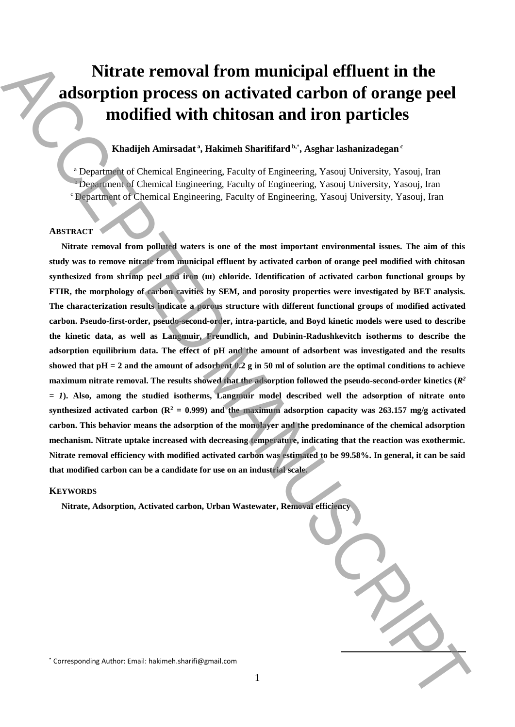# **Nitrate removal from municipal effluent in the adsorption process on activated carbon of orange peel modified with chitosan and iron particles**

# **Khadijeh Amirsadat <sup>a</sup> , Hakimeh Sharififard b,**\* **, Asghar lashanizadegan <sup>c</sup>**

<sup>a</sup> Department of Chemical Engineering, Faculty of Engineering, Yasouj University, Yasouj, Iran <sup>b</sup> Department of Chemical Engineering, Faculty of Engineering, Yasouj University, Yasouj, Iran <sup>c</sup>Department of Chemical Engineering, Faculty of Engineering, Yasouj University, Yasouj, Iran

# **ABSTRACT**

**Nitrate removal from polluted waters is one of the most important environmental issues. The aim of this study was to remove nitrate from municipal effluent by activated carbon of orange peel modified with chitosan synthesized from shrimp peel and iron (ш) chloride. Identification of activated carbon functional groups by FTIR, the morphology of carbon cavities by SEM, and porosity properties were investigated by BET analysis. The characterization results indicate a porous structure with different functional groups of modified activated carbon. Pseudo-first-order, pseudo-second-order, intra-particle, and Boyd kinetic models were used to describe the kinetic data, as well as Langmuir, Freundlich, and Dubinin-Radushkevitch isotherms to describe the adsorption equilibrium data. The effect of pH and the amount of adsorbent was investigated and the results showed that pH = 2 and the amount of adsorbent 0.2 g in 50 ml of solution are the optimal conditions to achieve maximum nitrate removal. The results showed that the adsorption followed the pseudo-second-order kinetics**  $(R^2$ *= 1***). Also, among the studied isotherms, Langmuir model described well the adsorption of nitrate onto**  synthesized activated carbon  $(R^2 = 0.999)$  and the maximum adsorption capacity was 263.157 mg/g activated **carbon. This behavior means the adsorption of the monolayer and the predominance of the chemical adsorption mechanism. Nitrate uptake increased with decreasing temperature, indicating that the reaction was exothermic. Nitrate removal efficiency with modified activated carbon was estimated to be 99.58%. In general, it can be said that modified carbon can be a candidate for use on an industrial scale.** Nitrate removal from municipal effluent in the adsorption process on activated carbon of orange peel modified with chitosan and iron particles<br>
modified with chitosan and iron particles<br>  $\blacksquare$ <br>  $\blacksquare$ <br>  $\blacksquare$ <br>  $\blacksquare$ <br>  $\$ 

## **KEYWORDS**

**Nitrate, Adsorption, Activated carbon, Urban Wastewater, Removal efficiency**

**.**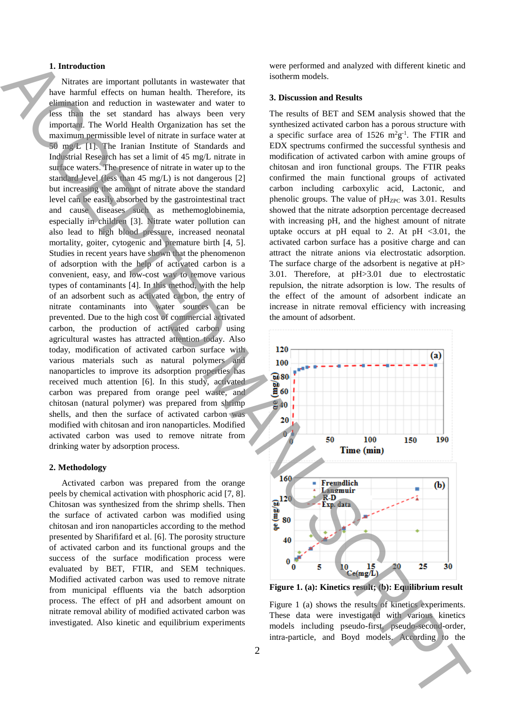## **1. Introduction**

Nitrates are important pollutants in wastewater that have harmful effects on human health. Therefore, its elimination and reduction in wastewater and water to less than the set standard has always been very important. The World Health Organization has set the maximum permissible level of nitrate in surface water at 50 mg/L [1]. The Iranian Institute of Standards and Industrial Research has set a limit of 45 mg/L nitrate in surface waters. The presence of nitrate in water up to the standard level (less than 45 mg/L) is not dangerous [2] but increasing the amount of nitrate above the standard level can be easily absorbed by the gastrointestinal tract and cause diseases such as methemoglobinemia, especially in children [3]. Nitrate water pollution can also lead to high blood pressure, increased neonatal mortality, goiter, cytogenic and premature birth [4, 5]. Studies in recent years have shown that the phenomenon of adsorption with the help of activated carbon is a convenient, easy, and low-cost way to remove various types of contaminants [4]. In this method, with the help of an adsorbent such as activated carbon, the entry of nitrate contaminants into water sources can be prevented. Due to the high cost of commercial activated carbon, the production of activated carbon using agricultural wastes has attracted attention today. Also today, modification of activated carbon surface with various materials such as natural polymers and nanoparticles to improve its adsorption properties has received much attention [6]. In this study, activated carbon was prepared from orange peel waste, and chitosan (natural polymer) was prepared from shrimp shells, and then the surface of activated carbon was modified with chitosan and iron nanoparticles. Modified activated carbon was used to remove nitrate from drinking water by adsorption process. Introduction interaction is probable in a second of the ACCE control and Acces by the ACCE control and ACCE control and Acces by the ACCE control and ACCE control and ACCE control and ACCE control and ACCE control and ACC

#### **2. Methodology**

Activated carbon was prepared from the orange peels by chemical activation with phosphoric acid [7, 8]. Chitosan was synthesized from the shrimp shells. Then the surface of activated carbon was modified using chitosan and iron nanoparticles according to the method presented by Sharififard et al. [6]. The porosity structure of activated carbon and its functional groups and the success of the surface modification process were evaluated by BET, FTIR, and SEM techniques. Modified activated carbon was used to remove nitrate from municipal effluents via the batch adsorption process. The effect of pH and adsorbent amount on nitrate removal ability of modified activated carbon was investigated. Also kinetic and equilibrium experiments were performed and analyzed with different kinetic and isotherm models.

#### **3. Discussion and Results**

The results of BET and SEM analysis showed that the synthesized activated carbon has a porous structure with a specific surface area of  $1526 \text{ m}^2\text{g}^{-1}$ . The FTIR and EDX spectrums confirmed the successful synthesis and modification of activated carbon with amine groups of chitosan and iron functional groups. The FTIR peaks confirmed the main functional groups of activated carbon including carboxylic acid, Lactonic, and phenolic groups. The value of  $pH_{ZPC}$  was 3.01. Results showed that the nitrate adsorption percentage decreased with increasing pH, and the highest amount of nitrate uptake occurs at pH equal to 2. At pH  $\langle 3.01,$  the activated carbon surface has a positive charge and can attract the nitrate anions via electrostatic adsorption. The surface charge of the adsorbent is negative at pH> 3.01. Therefore, at pH>3.01 due to electrostatic repulsion, the nitrate adsorption is low. The results of the effect of the amount of adsorbent indicate an increase in nitrate removal efficiency with increasing the amount of adsorbent.



**Figure 1. (a): Kinetics result; (b): Equilibrium result**

Figure 1 (a) shows the results of kinetics experiments. These data were investigated with various kinetics models including pseudo-first, pseudo-second-order,